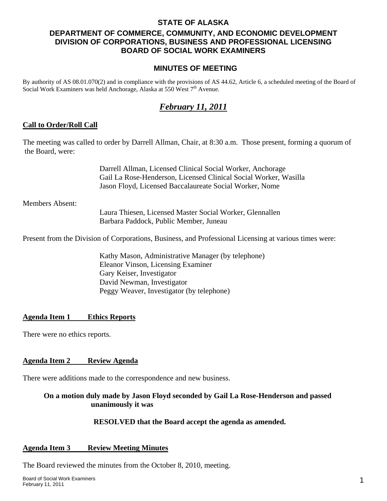#### **STATE OF ALASKA**

# **DEPARTMENT OF COMMERCE, COMMUNITY, AND ECONOMIC DEVELOPMENT DIVISION OF CORPORATIONS, BUSINESS AND PROFESSIONAL LICENSING BOARD OF SOCIAL WORK EXAMINERS**

#### **MINUTES OF MEETING**

By authority of AS 08.01.070(2) and in compliance with the provisions of AS 44.62, Article 6, a scheduled meeting of the Board of Social Work Examiners was held Anchorage, Alaska at 550 West 7<sup>th</sup> Avenue.

# *February 11, 2011*

#### **Call to Order/Roll Call**

The meeting was called to order by Darrell Allman, Chair, at 8:30 a.m. Those present, forming a quorum of the Board, were:

> Darrell Allman, Licensed Clinical Social Worker, Anchorage Gail La Rose-Henderson, Licensed Clinical Social Worker, Wasilla Jason Floyd, Licensed Baccalaureate Social Worker, Nome

Members Absent:

Laura Thiesen, Licensed Master Social Worker, Glennallen Barbara Paddock, Public Member, Juneau

Present from the Division of Corporations, Business, and Professional Licensing at various times were:

 Kathy Mason, Administrative Manager (by telephone) Eleanor Vinson, Licensing Examiner Gary Keiser, Investigator David Newman, Investigator Peggy Weaver, Investigator (by telephone)

#### **Agenda Item 1 Ethics Reports**

There were no ethics reports.

#### **Agenda Item 2 Review Agenda**

There were additions made to the correspondence and new business.

#### **On a motion duly made by Jason Floyd seconded by Gail La Rose-Henderson and passed unanimously it was**

#### **RESOLVED that the Board accept the agenda as amended.**

#### **Agenda Item 3 Review Meeting Minutes**

The Board reviewed the minutes from the October 8, 2010, meeting.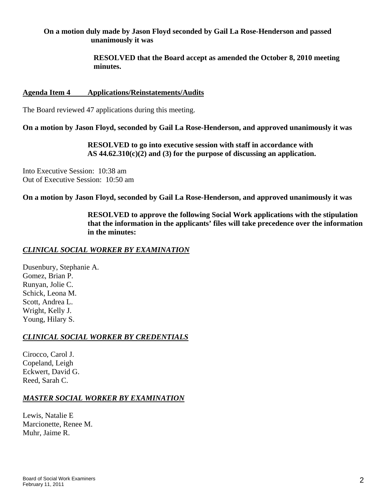#### **On a motion duly made by Jason Floyd seconded by Gail La Rose-Henderson and passed unanimously it was**

 **RESOLVED that the Board accept as amended the October 8, 2010 meeting minutes.** 

#### **Agenda Item 4 Applications/Reinstatements/Audits**

The Board reviewed 47 applications during this meeting.

**On a motion by Jason Floyd, seconded by Gail La Rose-Henderson, and approved unanimously it was** 

 **RESOLVED to go into executive session with staff in accordance with AS 44.62.310(c)(2) and (3) for the purpose of discussing an application.** 

Into Executive Session: 10:38 am Out of Executive Session: 10:50 am

**On a motion by Jason Floyd, seconded by Gail La Rose-Henderson, and approved unanimously it was** 

 **RESOLVED to approve the following Social Work applications with the stipulation that the information in the applicants' files will take precedence over the information in the minutes:** 

# *CLINICAL SOCIAL WORKER BY EXAMINATION*

Dusenbury, Stephanie A. Gomez, Brian P. Runyan, Jolie C. Schick, Leona M. Scott, Andrea L. Wright, Kelly J. Young, Hilary S.

# *CLINICAL SOCIAL WORKER BY CREDENTIALS*

Cirocco, Carol J. Copeland, Leigh Eckwert, David G. Reed, Sarah C.

# *MASTER SOCIAL WORKER BY EXAMINATION*

Lewis, Natalie E Marcionette, Renee M. Muhr, Jaime R.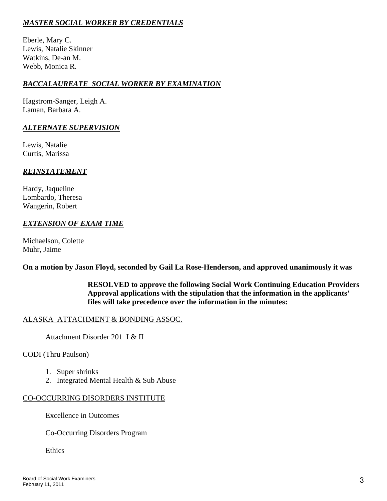# *MASTER SOCIAL WORKER BY CREDENTIALS*

Eberle, Mary C. Lewis, Natalie Skinner Watkins, De-an M. Webb, Monica R.

# *BACCALAUREATE SOCIAL WORKER BY EXAMINATION*

Hagstrom-Sanger, Leigh A. Laman, Barbara A.

# *ALTERNATE SUPERVISION*

Lewis, Natalie Curtis, Marissa

# *REINSTATEMENT*

Hardy, Jaqueline Lombardo, Theresa Wangerin, Robert

# *EXTENSION OF EXAM TIME*

Michaelson, Colette Muhr, Jaime

**On a motion by Jason Floyd, seconded by Gail La Rose-Henderson, and approved unanimously it was** 

 **RESOLVED to approve the following Social Work Continuing Education Providers Approval applications with the stipulation that the information in the applicants' files will take precedence over the information in the minutes:**

# ALASKA ATTACHMENT & BONDING ASSOC.

Attachment Disorder 201 I & II

#### CODI (Thru Paulson)

- 1. Super shrinks
- 2. Integrated Mental Health & Sub Abuse

# CO-OCCURRING DISORDERS INSTITUTE

Excellence in Outcomes

Co-Occurring Disorders Program

Ethics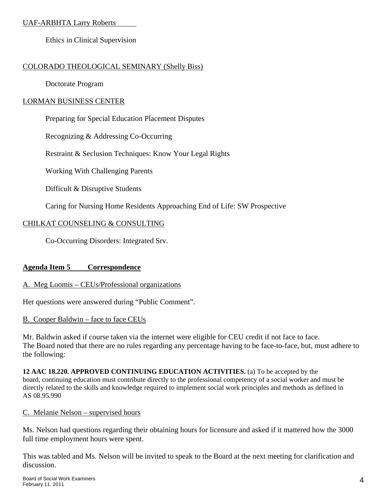# UAF-ARBHTA Larry Roberts

Ethics in Clinical Supervision

# COLORADO THEOLOGICAL SEMINARY (Shelly Biss)

Doctorate Program

# LORMAN BUSINESS CENTER

Preparing for Special Education Placement Disputes

Recognizing & Addressing Co-Occurring

Restraint & Seclusion Techniques: Know Your Legal Rights

Working With Challenging Parents

Difficult & Disruptive Students

Caring for Nursing Home Residents Approaching End of Life: SW Prospective

# CHILKAT COUNSELING & CONSULTING

Co-Occurring Disorders: Integrated Srv.

# **Agenda Item 5 Correspondence**

# A. Meg Loomis – CEUs/Professional organizations

Her questions were answered during "Public Comment".

# B. Cooper Baldwin – face to face CEUs

Mr. Baldwin asked if course taken via the internet were eligible for CEU credit if not face to face. The Board noted that there are no rules regarding any percentage having to be face-to-face, but, must adhere to the following:

**12 AAC 18.220. APPROVED CONTINUING EDUCATION ACTIVITIES.** (a) To be accepted by the board, continuing education must contribute directly to the professional competency of a social worker and must be directly related to the skills and knowledge required to implement social work principles and methods as defined in AS 08.95.990

# C. Melanie Nelson – supervised hours

Ms. Nelson had questions regarding their obtaining hours for licensure and asked if it mattered how the 3000 full time employment hours were spent.

This was tabled and Ms. Nelson will be invited to speak to the Board at the next meeting for clarification and discussion.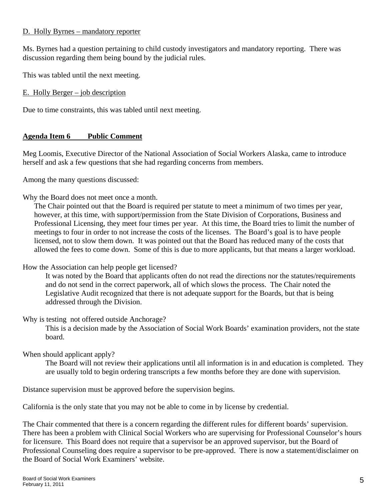#### D. Holly Byrnes – mandatory reporter

Ms. Byrnes had a question pertaining to child custody investigators and mandatory reporting. There was discussion regarding them being bound by the judicial rules.

This was tabled until the next meeting.

E. Holly Berger – job description

Due to time constraints, this was tabled until next meeting.

# **Agenda Item 6 Public Comment**

Meg Loomis, Executive Director of the National Association of Social Workers Alaska, came to introduce herself and ask a few questions that she had regarding concerns from members.

Among the many questions discussed:

Why the Board does not meet once a month.

The Chair pointed out that the Board is required per statute to meet a minimum of two times per year, however, at this time, with support/permission from the State Division of Corporations, Business and Professional Licensing, they meet four times per year. At this time, the Board tries to limit the number of meetings to four in order to not increase the costs of the licenses. The Board's goal is to have people licensed, not to slow them down. It was pointed out that the Board has reduced many of the costs that allowed the fees to come down. Some of this is due to more applicants, but that means a larger workload.

How the Association can help people get licensed?

It was noted by the Board that applicants often do not read the directions nor the statutes/requirements and do not send in the correct paperwork, all of which slows the process. The Chair noted the Legislative Audit recognized that there is not adequate support for the Boards, but that is being addressed through the Division.

Why is testing not offered outside Anchorage?

This is a decision made by the Association of Social Work Boards' examination providers, not the state board.

When should applicant apply?

The Board will not review their applications until all information is in and education is completed. They are usually told to begin ordering transcripts a few months before they are done with supervision.

Distance supervision must be approved before the supervision begins.

California is the only state that you may not be able to come in by license by credential.

The Chair commented that there is a concern regarding the different rules for different boards' supervision. There has been a problem with Clinical Social Workers who are supervising for Professional Counselor's hours for licensure. This Board does not require that a supervisor be an approved supervisor, but the Board of Professional Counseling does require a supervisor to be pre-approved. There is now a statement/disclaimer on the Board of Social Work Examiners' website.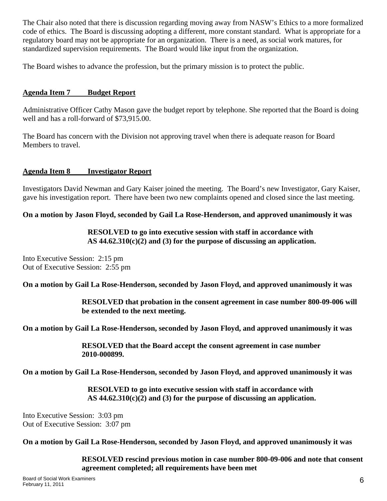The Chair also noted that there is discussion regarding moving away from NASW's Ethics to a more formalized code of ethics. The Board is discussing adopting a different, more constant standard. What is appropriate for a regulatory board may not be appropriate for an organization. There is a need, as social work matures, for standardized supervision requirements. The Board would like input from the organization.

The Board wishes to advance the profession, but the primary mission is to protect the public.

# **Agenda Item 7 Budget Report**

Administrative Officer Cathy Mason gave the budget report by telephone. She reported that the Board is doing well and has a roll-forward of \$73,915.00.

The Board has concern with the Division not approving travel when there is adequate reason for Board Members to travel.

#### **Agenda Item 8 Investigator Report**

Investigators David Newman and Gary Kaiser joined the meeting. The Board's new Investigator, Gary Kaiser, gave his investigation report. There have been two new complaints opened and closed since the last meeting.

#### **On a motion by Jason Floyd, seconded by Gail La Rose-Henderson, and approved unanimously it was**

#### **RESOLVED to go into executive session with staff in accordance with AS 44.62.310(c)(2) and (3) for the purpose of discussing an application.**

Into Executive Session: 2:15 pm Out of Executive Session: 2:55 pm

**On a motion by Gail La Rose-Henderson, seconded by Jason Floyd, and approved unanimously it was** 

**RESOLVED that probation in the consent agreement in case number 800-09-006 will be extended to the next meeting.** 

**On a motion by Gail La Rose-Henderson, seconded by Jason Floyd, and approved unanimously it was** 

**RESOLVED that the Board accept the consent agreement in case number 2010-000899.** 

**On a motion by Gail La Rose-Henderson, seconded by Jason Floyd, and approved unanimously it was** 

#### **RESOLVED to go into executive session with staff in accordance with AS 44.62.310(c)(2) and (3) for the purpose of discussing an application.**

Into Executive Session: 3:03 pm Out of Executive Session: 3:07 pm

**On a motion by Gail La Rose-Henderson, seconded by Jason Floyd, and approved unanimously it was** 

**RESOLVED rescind previous motion in case number 800-09-006 and note that consent agreement completed; all requirements have been met**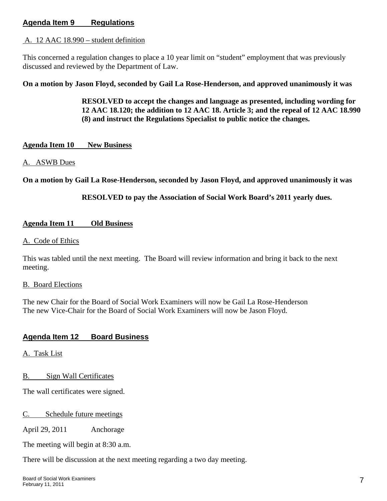# **Agenda Item 9 Regulations**

#### A. 12 AAC 18.990 – student definition

This concerned a regulation changes to place a 10 year limit on "student" employment that was previously discussed and reviewed by the Department of Law.

**On a motion by Jason Floyd, seconded by Gail La Rose-Henderson, and approved unanimously it was** 

**RESOLVED to accept the changes and language as presented, including wording for 12 AAC 18.120; the addition to 12 AAC 18. Article 3; and the repeal of 12 AAC 18.990 (8) and instruct the Regulations Specialist to public notice the changes.** 

#### **Agenda Item 10 New Business**

#### A. ASWB Dues

**On a motion by Gail La Rose-Henderson, seconded by Jason Floyd, and approved unanimously it was** 

**RESOLVED to pay the Association of Social Work Board's 2011 yearly dues.** 

#### **Agenda Item 11 Old Business**

#### A. Code of Ethics

This was tabled until the next meeting. The Board will review information and bring it back to the next meeting.

#### B. Board Elections

The new Chair for the Board of Social Work Examiners will now be Gail La Rose-Henderson The new Vice-Chair for the Board of Social Work Examiners will now be Jason Floyd.

# **Agenda Item 12 Board Business**

A. Task List

B. Sign Wall Certificates

The wall certificates were signed.

#### C. Schedule future meetings

April 29, 2011 Anchorage

The meeting will begin at 8:30 a.m.

There will be discussion at the next meeting regarding a two day meeting.